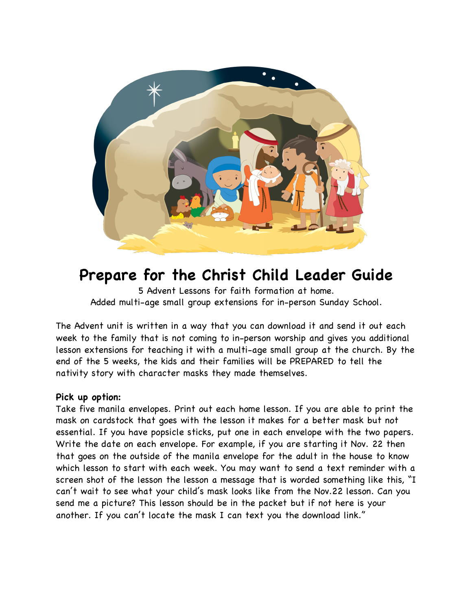

# **Prepare for the Christ Child Leader Guide**

5 Advent Lessons for faith formation at home. Added multi-age small group extensions for in-person Sunday School.

The Advent unit is written in a way that you can download it and send it out each week to the family that is not coming to in-person worship and gives you additional lesson extensions for teaching it with a multi-age small group at the church. By the end of the 5 weeks, the kids and their families will be PREPARED to tell the nativity story with character masks they made themselves.

# **Pick up option:**

Take five manila envelopes. Print out each home lesson. If you are able to print the mask on cardstock that goes with the lesson it makes for a better mask but not essential. If you have popsicle sticks, put one in each envelope with the two papers. Write the date on each envelope. For example, if you are starting it Nov. 22 then that goes on the outside of the manila envelope for the adult in the house to know which lesson to start with each week. You may want to send a text reminder with a screen shot of the lesson the lesson a message that is worded something like this, "I can't wait to see what your child's mask looks like from the Nov.22 lesson. Can you send me a picture? This lesson should be in the packet but if not here is your another. If you can't locate the mask I can text you the download link."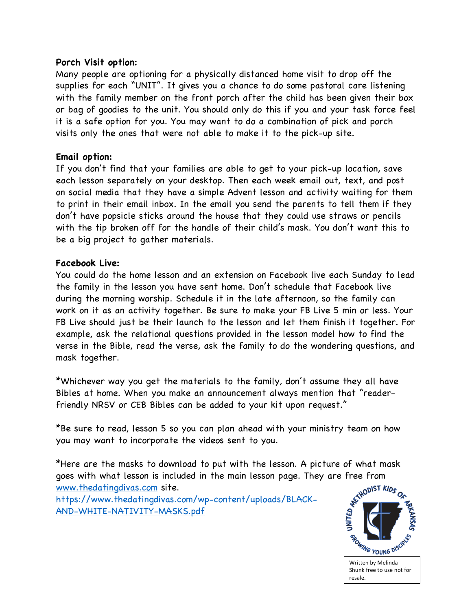## **Porch Visit option:**

Many people are optioning for a physically distanced home visit to drop off the supplies for each "UNIT". It gives you a chance to do some pastoral care listening with the family member on the front porch after the child has been given their box or bag of goodies to the unit. You should only do this if you and your task force feel it is a safe option for you. You may want to do a combination of pick and porch visits only the ones that were not able to make it to the pick-up site.

## **Email option:**

If you don't find that your families are able to get to your pick-up location, save each lesson separately on your desktop. Then each week email out, text, and post on social media that they have a simple Advent lesson and activity waiting for them to print in their email inbox. In the email you send the parents to tell them if they don't have popsicle sticks around the house that they could use straws or pencils with the tip broken off for the handle of their child's mask. You don't want this to be a big project to gather materials.

## **Facebook Live:**

You could do the home lesson and an extension on Facebook live each Sunday to lead the family in the lesson you have sent home. Don't schedule that Facebook live during the morning worship. Schedule it in the late afternoon, so the family can work on it as an activity together. Be sure to make your FB Live 5 min or less. Your FB Live should just be their launch to the lesson and let them finish it together. For example, ask the relational questions provided in the lesson model how to find the verse in the Bible, read the verse, ask the family to do the wondering questions, and mask together.

\*Whichever way you get the materials to the family, don't assume they all have Bibles at home. When you make an announcement always mention that "readerfriendly NRSV or CEB Bibles can be added to your kit upon request."

\*Be sure to read, lesson 5 so you can plan ahead with your ministry team on how you may want to incorporate the videos sent to you.

\*Here are the masks to download to put with the lesson. A picture of what mask goes with what lesson is included in the main lesson page. They are free from<br>www.thedatingdivas.com site.<br>https://www.thedatingdivas.com/wp-content/uploads/21.1011 www.thedatingdivas.com site. https://www.thedatingdivas.com/wp-content/uploads/BLACK-AND-WHITE-NATIVITY-MASKS.pdf